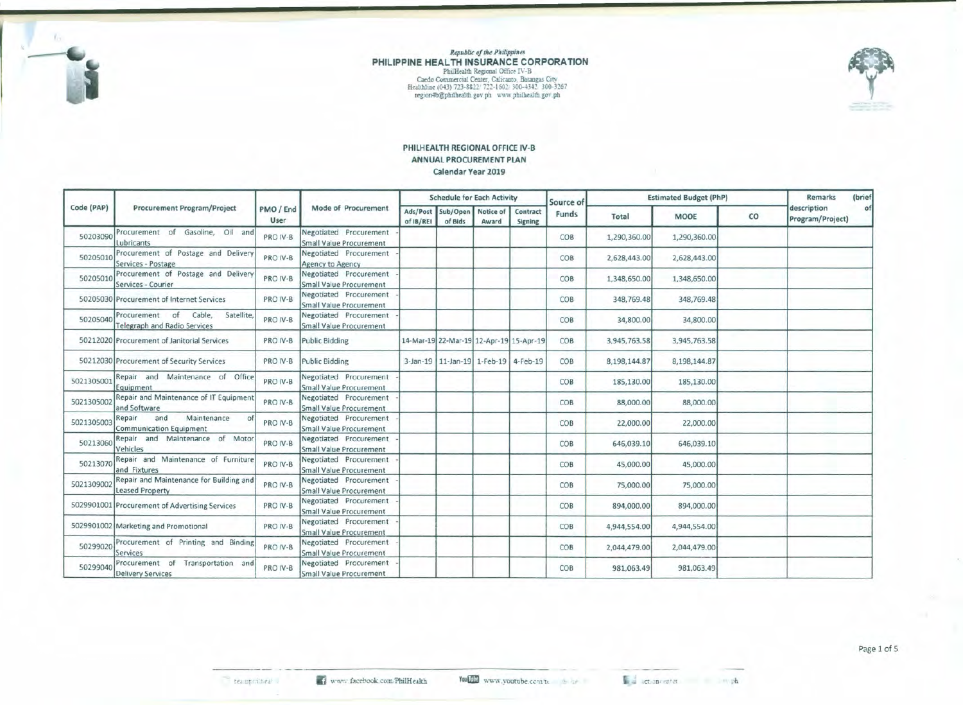

# $$ PHILIPPINE HEALTH INSURANCE CORPORATION PhilHealth Regional Office IV-B<br>Caedo Cornmercial Center, Calicanto, Batangas City<br>Healthine (043) *723-8822. ?*:2:-1602: 300-4342. 300-3267<br>region4b@philhealth.gov.ph www.philhealth.gov.ph



### PHILHEALTH REGIONAL OFFICE IV-B ANNUAL PROCUREMENT PLAN Calendar Year 2019

|            |                                                                              |           | Mode of Procurement<br>User                       |                       | <b>Schedule for Each Activity</b>          |       |                                         | Source of | <b>Estimated Budget (PhP)</b> | Remarks      | (brief      |                                 |    |
|------------|------------------------------------------------------------------------------|-----------|---------------------------------------------------|-----------------------|--------------------------------------------|-------|-----------------------------------------|-----------|-------------------------------|--------------|-------------|---------------------------------|----|
| Code (PAP) | <b>Procurement Program/Project</b>                                           | PMO / End |                                                   | Ads/Post<br>of IB/REI | Sub/Open Notice of<br>of Bids              | Award | Contract<br>Signing                     | Funds     | Total                         | <b>MOOE</b>  | $_{\rm CO}$ | description<br>Program/Project) | of |
| 50203090   | Procurement of Gasoline, Oil and<br>Lubricants                               | PRO IV-B  | Negotiated Procurement<br>Small Value Procurement |                       |                                            |       |                                         | COB       | 1,290,360.00                  | 1,290,360.00 |             |                                 |    |
| 50205010   | Procurement of Postage and Delivery<br>Services - Postage                    | PRO IV-B  | Negotiated Procurement<br>Agency to Agency        |                       |                                            |       |                                         | COB       | 2,628,443.00                  | 2,628,443.00 |             |                                 |    |
| 50205010   | Procurement of Postage and Delivery<br>Services - Courier                    | PRO IV-B  | Negotiated Procurement<br>Small Value Procurement |                       |                                            |       |                                         | COB       | 1,348,650.00                  | 1,348,650.00 |             |                                 |    |
|            | 50205030 Procurement of Internet Services                                    | PRO IV-B  | Negotiated Procurement<br>Small Value Procurement |                       |                                            |       |                                         | COB       | 348,769.48                    | 348,769.48   |             |                                 |    |
| 50205040   | Procurement of<br>Cable,<br>Satellite<br><b>Telegraph and Radio Services</b> | PRO IV-B  | Negotiated Procurement<br>Small Value Procurement |                       |                                            |       |                                         | COB       | 34,800.00                     | 34,800.00    |             |                                 |    |
|            | 50212020 Procurement of Janitorial Services                                  | PRO IV-B  | Public Bidding                                    |                       |                                            |       | 14-Mar-19 22-Mar-19 12-Apr-19 15-Apr-19 | COB       | 3,945,763.58                  | 3,945,763.58 |             |                                 |    |
|            | 50212030 Procurement of Security Services                                    | PRO IV-B  | Public Bidding                                    |                       | 3-Jan-19   11-Jan-19   1-Feb-19   4-Feb-19 |       |                                         | COB       | 8,198,144.87                  | 8,198,144.87 |             |                                 |    |
| 5021305001 | Repair and Maintenance of Office<br>Equipment                                | PRO IV-B  | Negotiated Procurement<br>Small Value Procurement |                       |                                            |       |                                         | COB       | 185,130.00                    | 185,130.00   |             |                                 |    |
| 5021305002 | Repair and Maintenance of IT Equipment<br>and Software                       | PRO IV-B  | Negotiated Procurement<br>Small Value Procurement |                       |                                            |       |                                         | COB       | 88,000.00                     | 88,000.00    |             |                                 |    |
| 5021305003 | Maintenance<br>Repair<br>and<br><b>Communication Equipment</b>               | PRO IV-B  | Negotiated Procurement<br>Small Value Procurement |                       |                                            |       |                                         | COB       | 22,000.00                     | 22,000.00    |             |                                 |    |
| 50213060   | Repair and Maintenance of Motor<br>Vehicles                                  | PRO IV-B  | Negotiated Procurement<br>Small Value Procurement |                       |                                            |       |                                         | COB       | 646,039.10                    | 646,039.10   |             |                                 |    |
| 5021307    | Repair and Maintenance of Furniture<br>and Fixtures                          | PRO IV-B  | Negotiated Procurement<br>Small Value Procurement |                       |                                            |       |                                         | COB       | 45,000.00                     | 45,000.00    |             |                                 |    |
| 5021309002 | Repair and Maintenance for Building and<br><b>Leased Property</b>            | PRO IV-B  | Negotiated Procurement<br>Small Value Procurement |                       |                                            |       |                                         | COB       | 75,000.00                     | 75,000.00    |             |                                 |    |
|            | 5029901001 Procurement of Advertising Services                               | PRO IV-B  | Negotiated Procurement<br>Small Value Procurement |                       |                                            |       |                                         | COB       | 894,000.00                    | 894,000.00   |             |                                 |    |
|            | 5029901002 Marketing and Promotional                                         | PRO IV-B  | Negotiated Procurement<br>Small Value Procurement |                       |                                            |       |                                         | COB       | 4,944,554.00                  | 4,944,554.00 |             |                                 |    |
| 50299020   | Procurement of Printing and Binding<br>Services                              | PRO IV-B  | Negotiated Procurement<br>Small Value Procurement |                       |                                            |       |                                         | COB       | 2,044,479.00                  | 2,044,479.00 |             |                                 |    |
| 50299040   | Procurement of Transportation and<br><b>Delivery Services</b>                | PRO IV-B  | Negotiated Procurement<br>Small Value Procurement |                       |                                            |       |                                         | COB       | 981,063.49                    | 981,063.49   |             |                                 |    |

se actioncenter. The sample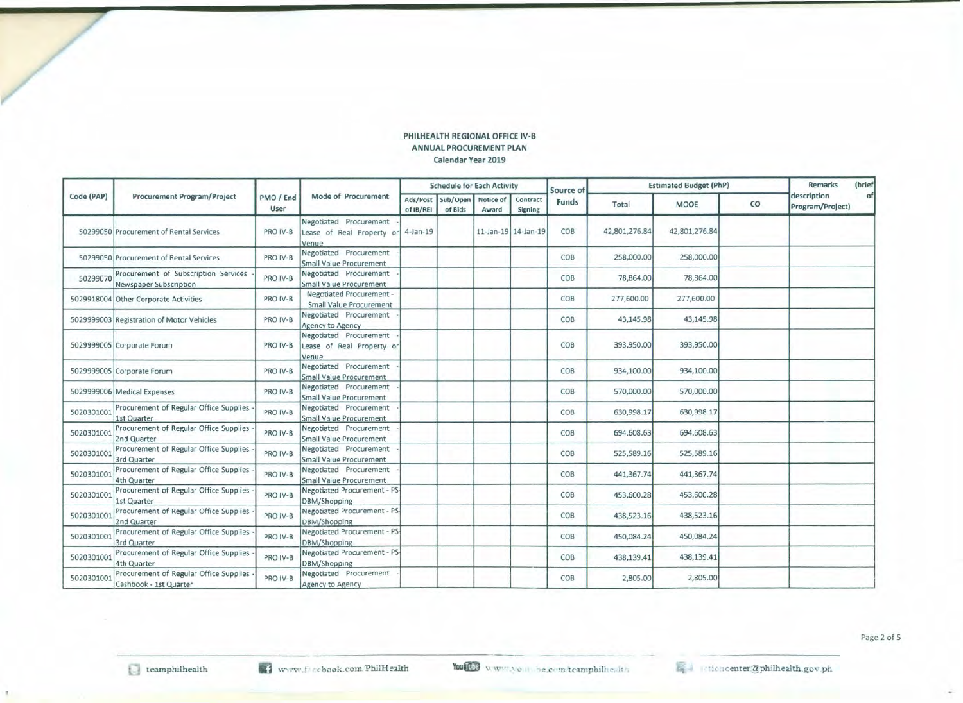## PHILHEALTH REGIONAL OFFICE IV·B ANNUAL PROCUREMENT PLAN calendar Year 2019

| Code (PAP) |                                                                  |                   | Mode of Procurement                                          |                       | <b>Schedule for Each Activity</b> |                     |                            | Source of | <b>Estimated Budget (PhP)</b> | <b>Remarks</b> | (brief |                                 |    |
|------------|------------------------------------------------------------------|-------------------|--------------------------------------------------------------|-----------------------|-----------------------------------|---------------------|----------------------------|-----------|-------------------------------|----------------|--------|---------------------------------|----|
|            | <b>Procurement Program/Project</b>                               | PMO / End<br>User |                                                              | Ads/Post<br>of IB/REI | Sub/Open<br>of Bids               | Notice of<br>Award  | Contract<br><b>Signing</b> | Funds     | Total                         | <b>MOOE</b>    | co     | description<br>Program/Project) | of |
|            | 50299050 Procurement of Rental Services                          | PRO IV-B          | Negotiated Procurement<br>Lease of Real Property or<br>Venue | $4$ -Jan-19           |                                   | 11-Jan-19 14-Jan-19 |                            | COB       | 42,801,276.84                 | 42,801,276.84  |        |                                 |    |
|            | 50299050 Procurement of Rental Services                          | PRO IV-B          | Negotiated Procurement<br><b>Small Value Procurement</b>     |                       |                                   |                     |                            | COB       | 258,000.00                    | 258,000.00     |        |                                 |    |
| 50299070   | Procurement of Subscription Services<br>Newspaper Subscription   | PRO IV-B          | Negotiated Procurement<br>Small Value Procurement            |                       |                                   |                     |                            | COB       | 78,864.00                     | 78,864.00      |        |                                 |    |
|            | 5029918004 Other Corporate Activities                            | PRO IV-B          | Negotiated Procurement -<br><b>Small Value Procurement</b>   |                       |                                   |                     |                            | COB       | 277,600.00                    | 277,600.00     |        |                                 |    |
|            | 5029999003 Registration of Motor Vehicles                        | PRO IV-B          | Negotiated Procurement<br>Agency to Agency                   |                       |                                   |                     |                            | COB       | 43,145.98                     | 43,145.98      |        |                                 |    |
|            | 5029999005 Corporate Forum                                       | PRO IV-B          | Negotiated Procurement<br>Lease of Real Property or<br>Venue |                       |                                   |                     |                            | COB       | 393,950.00                    | 393,950.00     |        |                                 |    |
|            | 5029999005 Corporate Forum                                       | PRO IV-B          | Negotiated Procurement<br>Small Value Procurement            |                       |                                   |                     |                            | COB       | 934,100.00                    | 934,100.00     |        |                                 |    |
|            | 5029999006 Medical Expenses                                      | PRO IV-B          | Negotiated Procurement<br><b>Small Value Procurement</b>     |                       |                                   |                     |                            | COB       | 570,000.00                    | 570,000.00     |        |                                 |    |
| 5020301001 | Procurement of Regular Office Supplies<br>1st Quarter            | PRO IV-B          | Negotiated Procurement<br><b>Small Value Procurement</b>     |                       |                                   |                     |                            | COB       | 630,998.17                    | 630,998.17     |        |                                 |    |
| 5020301001 | Procurement of Regular Office Supplies<br>2nd Quarter            | PRO IV-B          | Negotiated Procurement<br>Small Value Procurement            |                       |                                   |                     |                            | COB       | 694,608.63                    | 694,608.63     |        |                                 |    |
| 5020301001 | Procurement of Regular Office Supplies<br>3rd Quarter            | PRO IV-B          | Negotiated Procurement<br>Small Value Procurement            |                       |                                   |                     |                            | COB       | 525,589.16                    | 525,589.16     |        |                                 |    |
| 502030100  | Procurement of Regular Office Supplies<br>4th Quarter            | PRO IV-B          | Negotiated Procurement<br><b>Small Value Procurement</b>     |                       |                                   |                     |                            | COB       | 441,367.74                    | 441,367.74     |        |                                 |    |
| 5020301001 | Procurement of Regular Office Supplies<br>1st Quarter            | PRO IV-B          | Negotiated Procurement - PS-<br>DBM/Shopping                 |                       |                                   |                     |                            | COB       | 453,600.28                    | 453,600.28     |        |                                 |    |
| 5020301001 | Procurement of Regular Office Supplies<br>2nd Quarter            | PRO IV-B          | Negotiated Procurement - PS-<br>DBM/Shopping                 |                       |                                   |                     |                            | COB       | 438,523.16                    | 438,523.16     |        |                                 |    |
| 5020301001 | Procurement of Regular Office Supplies<br>3rd Quarter            | PRO IV-B          | Negotiated Procurement - PS-<br>DBM/Shopping                 |                       |                                   |                     |                            | COB       | 450,084.24                    | 450,084.24     |        |                                 |    |
| 502030100  | Procurement of Regular Office Supplies<br>4th Quarter            | PRO IV-B          | Negotiated Procurement - PS-<br>DBM/Shopping                 |                       |                                   |                     |                            | COB       | 438,139.41                    | 438,139.41     |        |                                 |    |
| 5020301001 | Procurement of Regular Office Supplies<br>Cashbook - 1st Quarter | PRO IV-B          | Negotiated Procurement<br>Agency to Agency                   |                       |                                   |                     |                            | COB       | 2,805.00                      | 2,805.00       |        |                                 |    |

$$
\mathbb{Z}^{\text{per}} \quad \text{intercenter} \quad \text{Rphilhealth.gov.p.}
$$

Page 2 of 5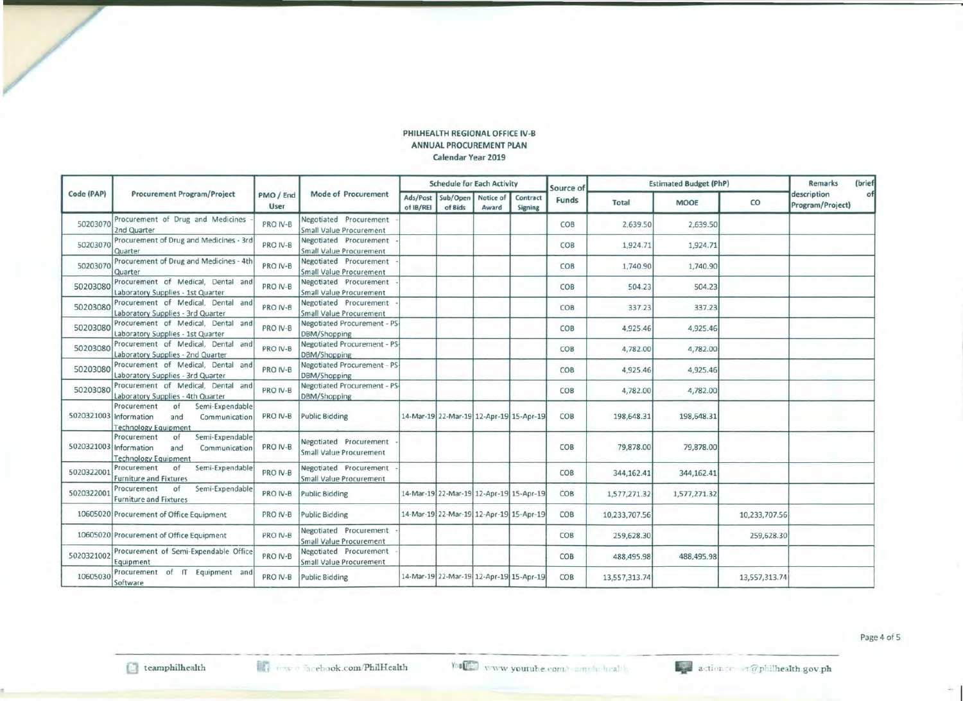#### PHILHEALTH REGIONAL OFFICE IV-8 ANNUAL PROCUREMENT PLAN Calendar Year 2019

| Code (PAP)             |                                                                                             |                   |                                                          | <b>Schedule for Each Activity</b> |                                         |                    |                            |                    | <b>Estimated Budget (PhP)</b> |              | (brief<br>Remarks |                                 |    |
|------------------------|---------------------------------------------------------------------------------------------|-------------------|----------------------------------------------------------|-----------------------------------|-----------------------------------------|--------------------|----------------------------|--------------------|-------------------------------|--------------|-------------------|---------------------------------|----|
|                        | <b>Procurement Program/Project</b>                                                          | PMO / End<br>User | Mode of Procurement                                      | Ads/Post<br>of IB/REI             | Sub/Open<br>of Bids                     | Notice of<br>Award | Contract<br><b>Signing</b> | Source of<br>Funds | <b>Total</b>                  | <b>MOOE</b>  | CO                | description<br>Program/Project) | of |
| 50203070               | Procurement of Drug and Medicines<br>2nd Quarter                                            | PRO IV-B          | Negotiated Procurement<br>Small Value Procurement        |                                   |                                         |                    |                            | COB                | 2,639.50                      | 2,639.50     |                   |                                 |    |
| 50203070               | Procurement of Drug and Medicines - 3rd<br>Quarter                                          | PRO IV-B          | Negotiated Procurement<br><b>Small Value Procurement</b> |                                   |                                         |                    |                            | COB                | 1,924.71                      | 1,924.71     |                   |                                 |    |
| 5020307                | Procurement of Drug and Medicines - 4th<br>Quarter                                          | PRO IV-B          | Negotiated Procurement<br><b>Small Value Procurement</b> |                                   |                                         |                    |                            | COB                | 1,740.90                      | 1,740.90     |                   |                                 |    |
| 50203080               | Procurement of Medical, Dental and<br>Laboratory Supplies - 1st Quarter                     | PRO IV-B          | Negotiated Procurement<br><b>Small Value Procurement</b> |                                   |                                         |                    |                            | COB                | 504.23                        | 504.23       |                   |                                 |    |
| 50203080               | Procurement of Medical, Dental and<br>Laboratory Supplies - 3rd Quarter                     | PRO IV-B          | Negotiated Procurement<br>Small Value Procurement        |                                   |                                         |                    |                            | COB                | 337.23                        | 337.23       |                   |                                 |    |
| 50203080               | Procurement of Medical, Dental and<br>Laboratory Supplies - 1st Quarter                     | PRO IV-B          | Negotiated Procurement - PS-<br>DBM/Shopping             |                                   |                                         |                    |                            | COB                | 4,925.46                      | 4,925.46     |                   |                                 |    |
| 50203080               | Procurement of Medical, Dental and<br>Laboratory Supplies - 2nd Quarter                     | PRO IV-B          | Negotiated Procurement - PS<br>DBM/Shopping              |                                   |                                         |                    |                            | COB                | 4,782.00                      | 4,782.00     |                   |                                 |    |
| 50203080               | Procurement of Medical, Dental and<br>Laboratory Supplies - 3rd Quarter                     | PRO IV-B          | Negotiated Procurement - PS-<br>DBM/Shopping             |                                   |                                         |                    |                            | COB                | 4,925.46                      | 4,925.46     |                   |                                 |    |
| 50203080               | Procurement of Medical, Dental and<br>Laboratory Supplies - 4th Quarter                     | PRO IV-B          | Negotiated Procurement - PS-<br>DBM/Shopping             |                                   |                                         |                    |                            | COB                | 4,782.00                      | 4,782.00     |                   |                                 |    |
| 5020321003 Information | of<br>Semi-Expendable<br>Procurement<br>Communication<br>and<br><b>Technology Equipment</b> | PRO IV-B          | Public Bidding                                           |                                   | 14-Mar-19 22-Mar-19 12-Apr-19 15-Apr-19 |                    |                            | COB                | 198,648.31                    | 198,648.31   |                   |                                 |    |
| 5020321003 Information | Semi-Expendable<br>Procurement<br>of<br>Communication<br>and<br><b>Technology Equipment</b> | PRO IV-B          | Negotiated Procurement<br><b>Small Value Procurement</b> |                                   |                                         |                    |                            | COB                | 79,878.00                     | 79,878.00    |                   |                                 |    |
| 5020322001             | Semi-Expendable<br>Procurement<br>of<br><b>Furniture and Fixtures</b>                       | PRO IV-B          | Negotiated Procurement<br>Small Value Procurement        |                                   |                                         |                    |                            | COB                | 344,162.41                    | 344,162.41   |                   |                                 |    |
| 5020322001             | of<br>Semi-Expendable<br>Procurement<br><b>Furniture and Fixtures</b>                       | PRO IV-B          | Public Bidding                                           |                                   | 14-Mar-19 22-Mar-19 12-Apr-19 15-Apr-19 |                    |                            | COB                | 1,577,271.32                  | 1,577,271.32 |                   |                                 |    |
|                        | 10605020 Procurement of Office Equipment                                                    | PRO IV-B          | Public Bidding                                           |                                   | 14-Mar-19 22-Mar-19 12-Apr-19 15-Apr-19 |                    |                            | COB                | 10,233,707.56                 |              | 10,233,707.56     |                                 |    |
|                        | 10605020 Procurement of Office Equipment                                                    | PRO IV-B          | Negotiated Procurement<br>Small Value Procurement        |                                   |                                         |                    |                            | COB                | 259,628.30                    |              | 259,628.30        |                                 |    |
| 5020321002             | Procurement of Semi-Expendable Office<br>Equipment                                          | PRO IV-B          | Negotiated Procurement<br>Small Value Procurement        |                                   |                                         |                    |                            | COB                | 488,495.98                    | 488,495.98   |                   |                                 |    |
| 10605030               | Procurement of IT Equipment and<br>Software                                                 | PRO IV-B          | Public Bidding                                           |                                   | 14-Mar-19 22-Mar-19 12-Apr-19 15-Apr-19 |                    |                            | COB                | 13,557,313.74                 |              | 13,557,313.74     |                                 |    |

Page 4 of 5

 $\sim$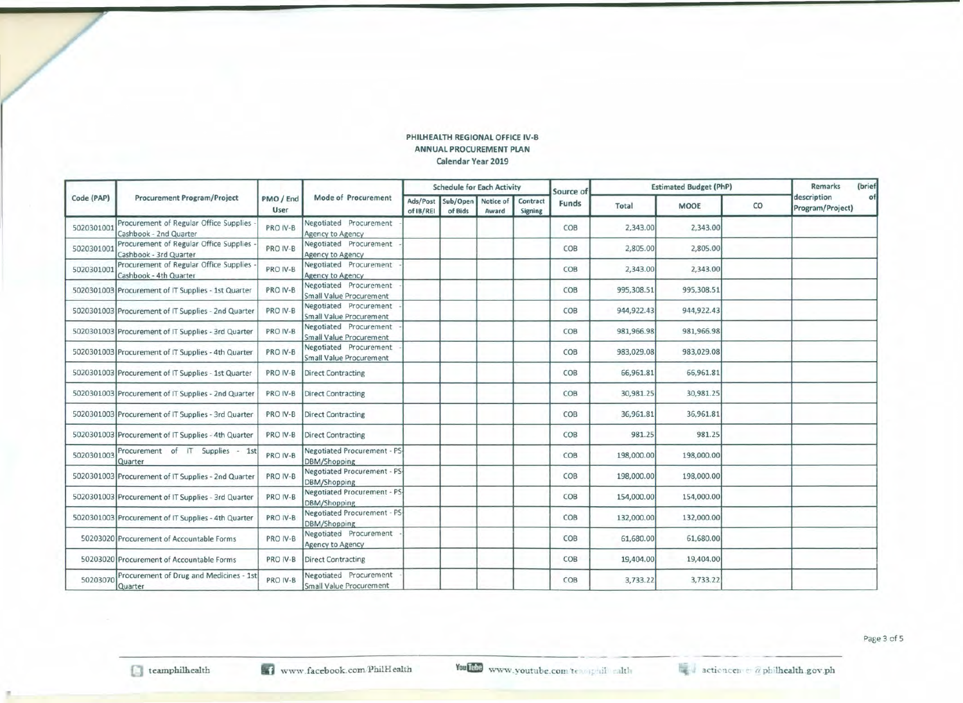#### PHILHEALTH REGIONAL OFFICE IV-B ANNUAL PROCUREMENT PLAN calendar Year 2019

|            |                                                                  |                   | Mode of Procurement                                      |                       | <b>Schedule for Each Activity</b> |                    |                            | Source of | <b>Estimated Budget (PhP)</b> |             | Remarks | (brief                          |    |
|------------|------------------------------------------------------------------|-------------------|----------------------------------------------------------|-----------------------|-----------------------------------|--------------------|----------------------------|-----------|-------------------------------|-------------|---------|---------------------------------|----|
| Code (PAP) | <b>Procurement Program/Project</b>                               | PMO / End<br>User |                                                          | Ads/Post<br>of IB/REI | Sub/Open<br>of Bids               | Notice of<br>Award | Contract<br><b>Signing</b> | Funds     | Total                         | <b>MOOE</b> | co      | description<br>Program/Project) | of |
| 5020301001 | Procurement of Regular Office Supplies<br>Cashbook - 2nd Quarter | PRO IV-B          | Negotiated Procurement<br>Agency to Agency               |                       |                                   |                    |                            | COB       | 2,343.00                      | 2,343.00    |         |                                 |    |
| 5020301001 | Procurement of Regular Office Supplies<br>Cashbook - 3rd Quarter | PRO IV-B          | Negotiated Procurement<br>Agency to Agency               |                       |                                   |                    |                            | COB       | 2,805.00                      | 2,805.00    |         |                                 |    |
| 5020301001 | Procurement of Regular Office Supplies<br>Cashbook - 4th Quarter | PRO IV-B          | Negotiated Procurement<br>Agency to Agency               |                       |                                   |                    |                            | COB       | 2,343.00                      | 2,343.00    |         |                                 |    |
|            | 5020301003 Procurement of IT Supplies - 1st Quarter              | PRO IV-B          | Negotiated Procurement<br><b>Small Value Procurement</b> |                       |                                   |                    |                            | COB       | 995,308.51                    | 995,308.51  |         |                                 |    |
|            | 5020301003 Procurement of IT Supplies - 2nd Quarter              | PRO IV-B          | Negotiated Procurement<br>Small Value Procurement        |                       |                                   |                    |                            | COB       | 944,922.43                    | 944,922.43  |         |                                 |    |
|            | 5020301003 Procurement of IT Supplies - 3rd Quarter              | PRO IV-B          | Negotiated Procurement<br><b>Small Value Procurement</b> |                       |                                   |                    |                            | COB       | 981,966.98                    | 981,966.98  |         |                                 |    |
|            | 5020301003 Procurement of IT Supplies - 4th Quarter              | PRO IV-B          | Negotiated Procurement<br>Small Value Procurement        |                       |                                   |                    |                            | COB       | 983,029.08                    | 983,029.08  |         |                                 |    |
|            | 5020301003 Procurement of IT Supplies - 1st Quarter              | PRO IV-B          | <b>Direct Contracting</b>                                |                       |                                   |                    |                            | COB       | 66,961.81                     | 66,961.81   |         |                                 |    |
|            | 5020301003 Procurement of IT Supplies - 2nd Quarter              | PRO IV-B          | <b>Direct Contracting</b>                                |                       |                                   |                    |                            | COB       | 30,981.25                     | 30,981.25   |         |                                 |    |
|            | 5020301003 Procurement of IT Supplies - 3rd Quarter              | PRO IV-B          | <b>Direct Contracting</b>                                |                       |                                   |                    |                            | COB       | 36,961.81                     | 36,961.81   |         |                                 |    |
|            | 5020301003 Procurement of IT Supplies - 4th Quarter              | PRO IV-B          | Direct Contracting                                       |                       |                                   |                    |                            | COB       | 981.25                        | 981.25      |         |                                 |    |
| 5020301003 | Procurement of IT Supplies - 1st<br>Quarter                      | PRO IV-B          | Negotiated Procurement - PS-<br>DBM/Shopping             |                       |                                   |                    |                            | COB       | 198,000.00                    | 198,000.00  |         |                                 |    |
|            | 5020301003 Procurement of IT Supplies - 2nd Quarter              | PRO IV-B          | Negotiated Procurement - PS-<br>DBM/Shopping             |                       |                                   |                    |                            | COB       | 198,000.00                    | 198,000.00  |         |                                 |    |
|            | 5020301003 Procurement of IT Supplies - 3rd Quarter              | PRO IV-B          | Negotiated Procurement - PS-<br>DBM/Shopping             |                       |                                   |                    |                            | COB       | 154,000.00                    | 154,000.00  |         |                                 |    |
|            | 5020301003 Procurement of IT Supplies - 4th Quarter              | PRO IV-B          | Negotiated Procurement - PS-<br>DBM/Shopping             |                       |                                   |                    |                            | COB       | 132,000.00                    | 132,000.00  |         |                                 |    |
|            | 50203020 Procurement of Accountable Forms                        | PRO IV-B          | Negotiated Procurement<br>Agency to Agency               |                       |                                   |                    |                            | COB       | 61,680.00                     | 61,680.00   |         |                                 |    |
|            | 50203020 Procurement of Accountable Forms                        | PRO IV-B          | <b>Direct Contracting</b>                                |                       |                                   |                    |                            | COB       | 19,404.00                     | 19,404.00   |         |                                 |    |
| 50203070   | Procurement of Drug and Medicines - 1st<br>Quarter               | PRO IV-B          | Negotiated Procurement<br>Small Value Procurement        |                       |                                   |                    |                            | COB       | 3,733.22                      | 3,733.22    |         |                                 |    |